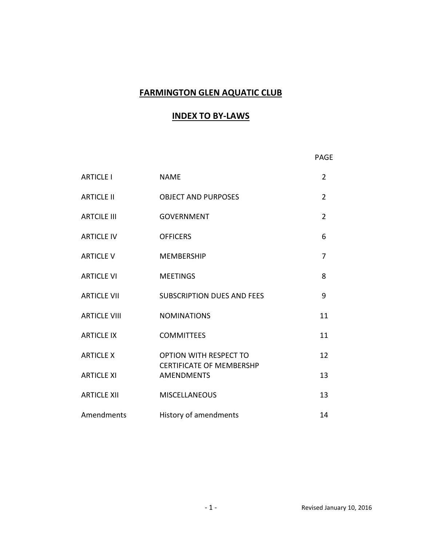# FARMINGTON GLEN AQUATIC CLUB

# INDEX TO BY-LAWS

**PAGE PAGE** 

| <b>ARTICLE I</b>    | <b>NAME</b>                                                      | $\overline{2}$ |
|---------------------|------------------------------------------------------------------|----------------|
| <b>ARTICLE II</b>   | <b>OBJECT AND PURPOSES</b>                                       | $\overline{2}$ |
| <b>ARTCILE III</b>  | <b>GOVERNMENT</b>                                                | $\overline{2}$ |
| <b>ARTICLE IV</b>   | <b>OFFICERS</b>                                                  | 6              |
| <b>ARTICLE V</b>    | <b>MEMBERSHIP</b>                                                | 7              |
| <b>ARTICLE VI</b>   | <b>MEETINGS</b>                                                  | 8              |
| <b>ARTICLE VII</b>  | <b>SUBSCRIPTION DUES AND FEES</b>                                | 9              |
| <b>ARTICLE VIII</b> | <b>NOMINATIONS</b>                                               | 11             |
| <b>ARTICLE IX</b>   | <b>COMMITTEES</b>                                                | 11             |
| <b>ARTICLE X</b>    | <b>OPTION WITH RESPECT TO</b><br><b>CERTIFICATE OF MEMBERSHP</b> | 12             |
| <b>ARTICLE XI</b>   | <b>AMENDMENTS</b>                                                | 13             |
| <b>ARTICLE XII</b>  | <b>MISCELLANEOUS</b>                                             | 13             |
| Amendments          | History of amendments                                            | 14             |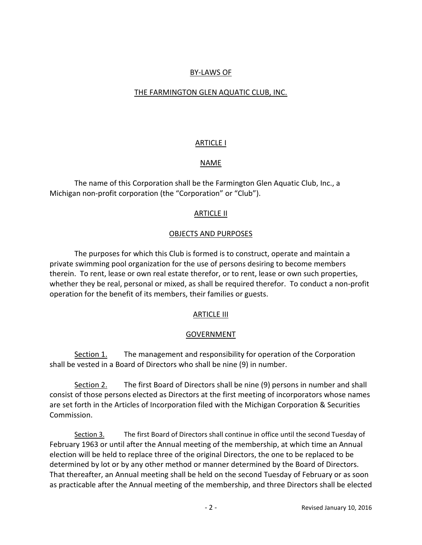## BY-LAWS OF

## THE FARMINGTON GLEN AQUATIC CLUB, INC.

### ARTICLE I

## NAME

 The name of this Corporation shall be the Farmington Glen Aquatic Club, Inc., a Michigan non-profit corporation (the "Corporation" or "Club").

### ARTICLE II

## OBJECTS AND PURPOSES

 The purposes for which this Club is formed is to construct, operate and maintain a private swimming pool organization for the use of persons desiring to become members therein. To rent, lease or own real estate therefor, or to rent, lease or own such properties, whether they be real, personal or mixed, as shall be required therefor. To conduct a non-profit operation for the benefit of its members, their families or guests.

### **ARTICLE III**

### GOVERNMENT

Section 1. The management and responsibility for operation of the Corporation shall be vested in a Board of Directors who shall be nine (9) in number.

Section 2. The first Board of Directors shall be nine (9) persons in number and shall consist of those persons elected as Directors at the first meeting of incorporators whose names are set forth in the Articles of Incorporation filed with the Michigan Corporation & Securities Commission.

 Section 3. The first Board of Directors shall continue in office until the second Tuesday of February 1963 or until after the Annual meeting of the membership, at which time an Annual election will be held to replace three of the original Directors, the one to be replaced to be determined by lot or by any other method or manner determined by the Board of Directors. That thereafter, an Annual meeting shall be held on the second Tuesday of February or as soon as practicable after the Annual meeting of the membership, and three Directors shall be elected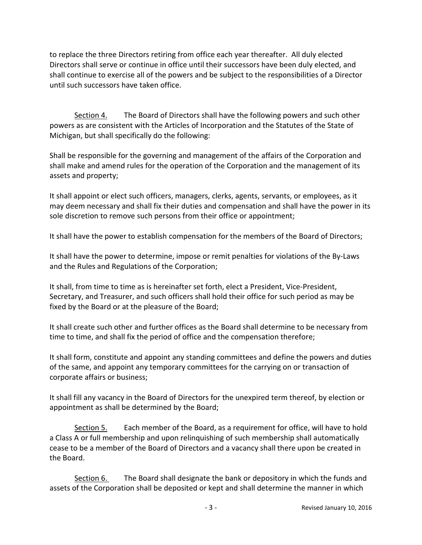to replace the three Directors retiring from office each year thereafter. All duly elected Directors shall serve or continue in office until their successors have been duly elected, and shall continue to exercise all of the powers and be subject to the responsibilities of a Director until such successors have taken office.

Section 4. The Board of Directors shall have the following powers and such other powers as are consistent with the Articles of Incorporation and the Statutes of the State of Michigan, but shall specifically do the following:

Shall be responsible for the governing and management of the affairs of the Corporation and shall make and amend rules for the operation of the Corporation and the management of its assets and property;

It shall appoint or elect such officers, managers, clerks, agents, servants, or employees, as it may deem necessary and shall fix their duties and compensation and shall have the power in its sole discretion to remove such persons from their office or appointment;

It shall have the power to establish compensation for the members of the Board of Directors;

It shall have the power to determine, impose or remit penalties for violations of the By-Laws and the Rules and Regulations of the Corporation;

It shall, from time to time as is hereinafter set forth, elect a President, Vice-President, Secretary, and Treasurer, and such officers shall hold their office for such period as may be fixed by the Board or at the pleasure of the Board;

It shall create such other and further offices as the Board shall determine to be necessary from time to time, and shall fix the period of office and the compensation therefore;

It shall form, constitute and appoint any standing committees and define the powers and duties of the same, and appoint any temporary committees for the carrying on or transaction of corporate affairs or business;

It shall fill any vacancy in the Board of Directors for the unexpired term thereof, by election or appointment as shall be determined by the Board;

Section 5. Each member of the Board, as a requirement for office, will have to hold a Class A or full membership and upon relinquishing of such membership shall automatically cease to be a member of the Board of Directors and a vacancy shall there upon be created in the Board.

Section 6. The Board shall designate the bank or depository in which the funds and assets of the Corporation shall be deposited or kept and shall determine the manner in which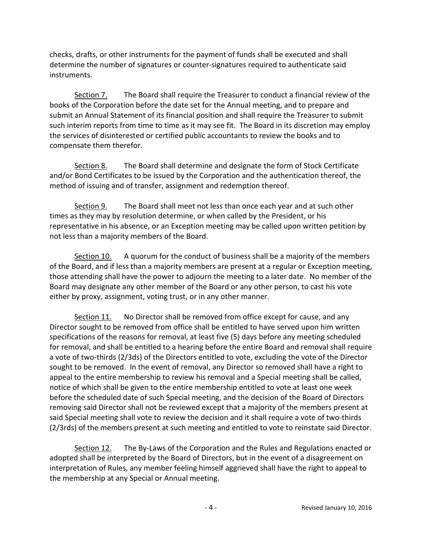checks, drafts, or other instruments for the payment of funds shall be executed and shall determine the number of signatures or counter-signatures required to authenticate said instruments.

Section 7. The Board shall require the Treasurer to conduct a financial review of the books of the Corporation before the date set for the Annual meeting, and to prepare and submit an Annual Statement of its financial position and shall require the Treasurer to submit such interim reports from time to time as it may see fit. The Board in its discretion may employ the services of disinterested or certified public accountants to review the books and to compensate them therefor.

Section 8. The Board shall determine and designate the form of Stock Certificate and/or Bond Certificates to be issued by the Corporation and the authentication thereof, the method of issuing and of transfer, assignment and redemption thereof.

Section 9. The Board shall meet not less than once each year and at such other times as they may by resolution determine, or when called by the President, or his representative in his absence, or an Exception meeting may be called upon written petition by not less than a majority members of the Board.

Section 10. A quorum for the conduct of business shall be a majority of the members of the Board, and if less than a majority members are present at a regular or Exception meeting, those attending shall have the power to adjourn the meeting to a later date. No member of the Board may designate any other member of the Board or any other person, to cast his vote either by proxy, assignment, voting trust, or in any other manner.

Section 11. No Director shall be removed from office except for cause, and any Director sought to be removed from office shall be entitled to have served upon him written specifications of the reasons for removal, at least five (5) days before any meeting scheduled for removal, and shall be entitled to a hearing before the entire Board and removal shall require a vote of two-thirds (2/3ds) of the Directors entitled to vote, excluding the vote of the Director sought to be removed. In the event of removal, any Director so removed shall have a right to appeal to the entire membership to review his removal and a Special meeting shall be called, notice of which shall be given to the entire membership entitled to vote at least one week before the scheduled date of such Special meeting, and the decision of the Board of Directors removing said Director shall not be reviewed except that a majority of the members present at said Special meeting shall vote to review the decision and it shall require a vote of two-thirds (2/3rds) of the members present at such meeting and entitled to vote to reinstate said Director.

Section 12. The By-Laws of the Corporation and the Rules and Regulations enacted or adopted shall be interpreted by the Board of Directors, but in the event of a disagreement on interpretation of Rules, any member feeling himself aggrieved shall have the right to appeal to the membership at any Special or Annual meeting.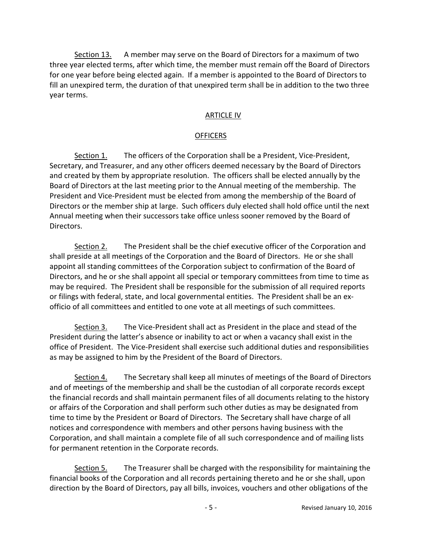Section 13. A member may serve on the Board of Directors for a maximum of two three year elected terms, after which time, the member must remain off the Board of Directors for one year before being elected again. If a member is appointed to the Board of Directors to fill an unexpired term, the duration of that unexpired term shall be in addition to the two three year terms.

## ARTICLE IV

#### **OFFICERS**

Section 1. The officers of the Corporation shall be a President, Vice-President, Secretary, and Treasurer, and any other officers deemed necessary by the Board of Directors and created by them by appropriate resolution. The officers shall be elected annually by the Board of Directors at the last meeting prior to the Annual meeting of the membership. The President and Vice-President must be elected from among the membership of the Board of Directors or the member ship at large. Such officers duly elected shall hold office until the next Annual meeting when their successors take office unless sooner removed by the Board of Directors.

 Section 2. The President shall be the chief executive officer of the Corporation and shall preside at all meetings of the Corporation and the Board of Directors. He or she shall appoint all standing committees of the Corporation subject to confirmation of the Board of Directors, and he or she shall appoint all special or temporary committees from time to time as may be required. The President shall be responsible for the submission of all required reports or filings with federal, state, and local governmental entities. The President shall be an exofficio of all committees and entitled to one vote at all meetings of such committees.

Section 3. The Vice-President shall act as President in the place and stead of the President during the latter's absence or inability to act or when a vacancy shall exist in the office of President. The Vice-President shall exercise such additional duties and responsibilities as may be assigned to him by the President of the Board of Directors.

Section 4. The Secretary shall keep all minutes of meetings of the Board of Directors and of meetings of the membership and shall be the custodian of all corporate records except the financial records and shall maintain permanent files of all documents relating to the history or affairs of the Corporation and shall perform such other duties as may be designated from time to time by the President or Board of Directors. The Secretary shall have charge of all notices and correspondence with members and other persons having business with the Corporation, and shall maintain a complete file of all such correspondence and of mailing lists for permanent retention in the Corporate records.

Section 5. The Treasurer shall be charged with the responsibility for maintaining the financial books of the Corporation and all records pertaining thereto and he or she shall, upon direction by the Board of Directors, pay all bills, invoices, vouchers and other obligations of the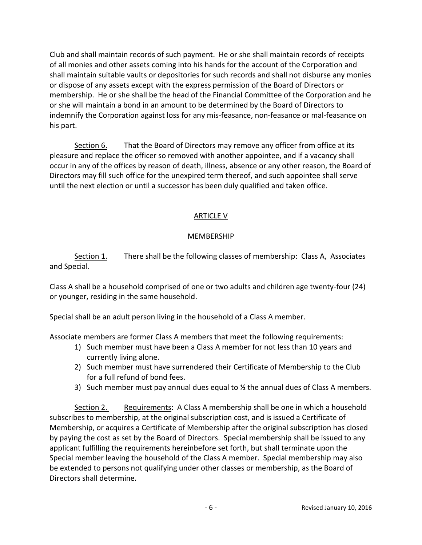Club and shall maintain records of such payment. He or she shall maintain records of receipts of all monies and other assets coming into his hands for the account of the Corporation and shall maintain suitable vaults or depositories for such records and shall not disburse any monies or dispose of any assets except with the express permission of the Board of Directors or membership. He or she shall be the head of the Financial Committee of the Corporation and he or she will maintain a bond in an amount to be determined by the Board of Directors to indemnify the Corporation against loss for any mis-feasance, non-feasance or mal-feasance on his part.

Section 6. That the Board of Directors may remove any officer from office at its pleasure and replace the officer so removed with another appointee, and if a vacancy shall occur in any of the offices by reason of death, illness, absence or any other reason, the Board of Directors may fill such office for the unexpired term thereof, and such appointee shall serve until the next election or until a successor has been duly qualified and taken office.

## ARTICLE V

## MEMBERSHIP

Section 1. There shall be the following classes of membership: Class A, Associates and Special.

Class A shall be a household comprised of one or two adults and children age twenty-four (24) or younger, residing in the same household.

Special shall be an adult person living in the household of a Class A member.

Associate members are former Class A members that meet the following requirements:

- 1) Such member must have been a Class A member for not less than 10 years and currently living alone.
- 2) Such member must have surrendered their Certificate of Membership to the Club for a full refund of bond fees.
- 3) Such member must pay annual dues equal to ½ the annual dues of Class A members.

Section 2. Requirements: A Class A membership shall be one in which a household subscribes to membership, at the original subscription cost, and is issued a Certificate of Membership, or acquires a Certificate of Membership after the original subscription has closed by paying the cost as set by the Board of Directors. Special membership shall be issued to any applicant fulfilling the requirements hereinbefore set forth, but shall terminate upon the Special member leaving the household of the Class A member. Special membership may also be extended to persons not qualifying under other classes or membership, as the Board of Directors shall determine.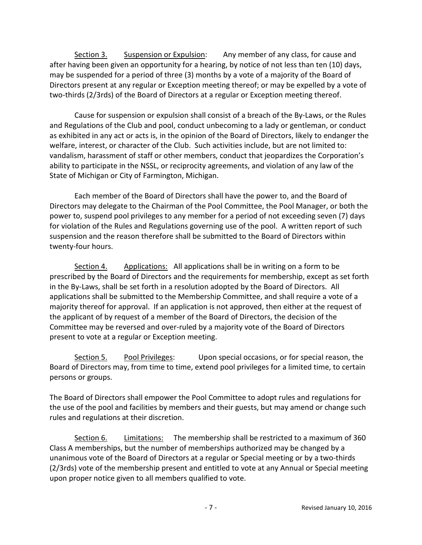Section 3. Suspension or Expulsion: Any member of any class, for cause and after having been given an opportunity for a hearing, by notice of not less than ten (10) days, may be suspended for a period of three (3) months by a vote of a majority of the Board of Directors present at any regular or Exception meeting thereof; or may be expelled by a vote of two-thirds (2/3rds) of the Board of Directors at a regular or Exception meeting thereof.

 Cause for suspension or expulsion shall consist of a breach of the By-Laws, or the Rules and Regulations of the Club and pool, conduct unbecoming to a lady or gentleman, or conduct as exhibited in any act or acts is, in the opinion of the Board of Directors, likely to endanger the welfare, interest, or character of the Club. Such activities include, but are not limited to: vandalism, harassment of staff or other members, conduct that jeopardizes the Corporation's ability to participate in the NSSL, or reciprocity agreements, and violation of any law of the State of Michigan or City of Farmington, Michigan.

Each member of the Board of Directors shall have the power to, and the Board of Directors may delegate to the Chairman of the Pool Committee, the Pool Manager, or both the power to, suspend pool privileges to any member for a period of not exceeding seven (7) days for violation of the Rules and Regulations governing use of the pool. A written report of such suspension and the reason therefore shall be submitted to the Board of Directors within twenty-four hours.

Section 4. Applications: All applications shall be in writing on a form to be prescribed by the Board of Directors and the requirements for membership, except as set forth in the By-Laws, shall be set forth in a resolution adopted by the Board of Directors. All applications shall be submitted to the Membership Committee, and shall require a vote of a majority thereof for approval. If an application is not approved, then either at the request of the applicant of by request of a member of the Board of Directors, the decision of the Committee may be reversed and over-ruled by a majority vote of the Board of Directors present to vote at a regular or Exception meeting.

Section 5. Pool Privileges: Upon special occasions, or for special reason, the Board of Directors may, from time to time, extend pool privileges for a limited time, to certain persons or groups.

The Board of Directors shall empower the Pool Committee to adopt rules and regulations for the use of the pool and facilities by members and their guests, but may amend or change such rules and regulations at their discretion.

Section 6. Limitations: The membership shall be restricted to a maximum of 360 Class A memberships, but the number of memberships authorized may be changed by a unanimous vote of the Board of Directors at a regular or Special meeting or by a two-thirds (2/3rds) vote of the membership present and entitled to vote at any Annual or Special meeting upon proper notice given to all members qualified to vote.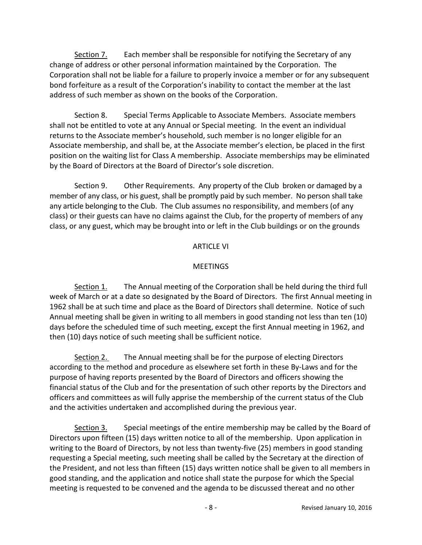Section 7. Each member shall be responsible for notifying the Secretary of any change of address or other personal information maintained by the Corporation. The Corporation shall not be liable for a failure to properly invoice a member or for any subsequent bond forfeiture as a result of the Corporation's inability to contact the member at the last address of such member as shown on the books of the Corporation.

Section 8. Special Terms Applicable to Associate Members. Associate members shall not be entitled to vote at any Annual or Special meeting. In the event an individual returns to the Associate member's household, such member is no longer eligible for an Associate membership, and shall be, at the Associate member's election, be placed in the first position on the waiting list for Class A membership. Associate memberships may be eliminated by the Board of Directors at the Board of Director's sole discretion.

Section 9. Other Requirements. Any property of the Club broken or damaged by a member of any class, or his guest, shall be promptly paid by such member. No person shall take any article belonging to the Club. The Club assumes no responsibility, and members (of any class) or their guests can have no claims against the Club, for the property of members of any class, or any guest, which may be brought into or left in the Club buildings or on the grounds

## ARTICLE VI

# **MEETINGS**

Section 1. The Annual meeting of the Corporation shall be held during the third full week of March or at a date so designated by the Board of Directors. The first Annual meeting in 1962 shall be at such time and place as the Board of Directors shall determine. Notice of such Annual meeting shall be given in writing to all members in good standing not less than ten (10) days before the scheduled time of such meeting, except the first Annual meeting in 1962, and then (10) days notice of such meeting shall be sufficient notice.

Section 2. The Annual meeting shall be for the purpose of electing Directors according to the method and procedure as elsewhere set forth in these By-Laws and for the purpose of having reports presented by the Board of Directors and officers showing the financial status of the Club and for the presentation of such other reports by the Directors and officers and committees as will fully apprise the membership of the current status of the Club and the activities undertaken and accomplished during the previous year.

Section 3. Special meetings of the entire membership may be called by the Board of Directors upon fifteen (15) days written notice to all of the membership. Upon application in writing to the Board of Directors, by not less than twenty-five (25) members in good standing requesting a Special meeting, such meeting shall be called by the Secretary at the direction of the President, and not less than fifteen (15) days written notice shall be given to all members in good standing, and the application and notice shall state the purpose for which the Special meeting is requested to be convened and the agenda to be discussed thereat and no other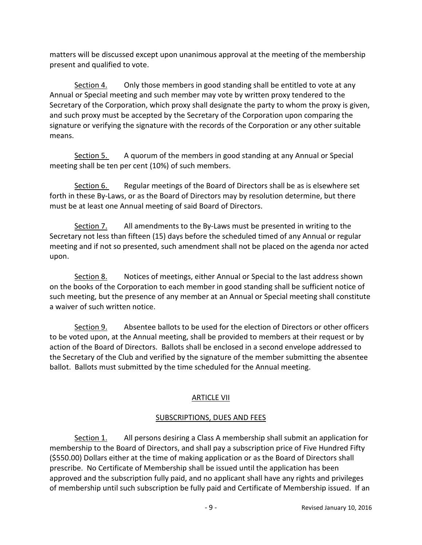matters will be discussed except upon unanimous approval at the meeting of the membership present and qualified to vote.

Section 4. Only those members in good standing shall be entitled to vote at any Annual or Special meeting and such member may vote by written proxy tendered to the Secretary of the Corporation, which proxy shall designate the party to whom the proxy is given, and such proxy must be accepted by the Secretary of the Corporation upon comparing the signature or verifying the signature with the records of the Corporation or any other suitable means.

Section 5. A quorum of the members in good standing at any Annual or Special meeting shall be ten per cent (10%) of such members.

Section 6. Regular meetings of the Board of Directors shall be as is elsewhere set forth in these By-Laws, or as the Board of Directors may by resolution determine, but there must be at least one Annual meeting of said Board of Directors.

Section 7. All amendments to the By-Laws must be presented in writing to the Secretary not less than fifteen (15) days before the scheduled timed of any Annual or regular meeting and if not so presented, such amendment shall not be placed on the agenda nor acted upon.

Section 8. Notices of meetings, either Annual or Special to the last address shown on the books of the Corporation to each member in good standing shall be sufficient notice of such meeting, but the presence of any member at an Annual or Special meeting shall constitute a waiver of such written notice.

Section 9. Absentee ballots to be used for the election of Directors or other officers to be voted upon, at the Annual meeting, shall be provided to members at their request or by action of the Board of Directors. Ballots shall be enclosed in a second envelope addressed to the Secretary of the Club and verified by the signature of the member submitting the absentee ballot. Ballots must submitted by the time scheduled for the Annual meeting.

# ARTICLE VII

# SUBSCRIPTIONS, DUES AND FEES

Section 1. All persons desiring a Class A membership shall submit an application for membership to the Board of Directors, and shall pay a subscription price of Five Hundred Fifty (\$550.00) Dollars either at the time of making application or as the Board of Directors shall prescribe. No Certificate of Membership shall be issued until the application has been approved and the subscription fully paid, and no applicant shall have any rights and privileges of membership until such subscription be fully paid and Certificate of Membership issued. If an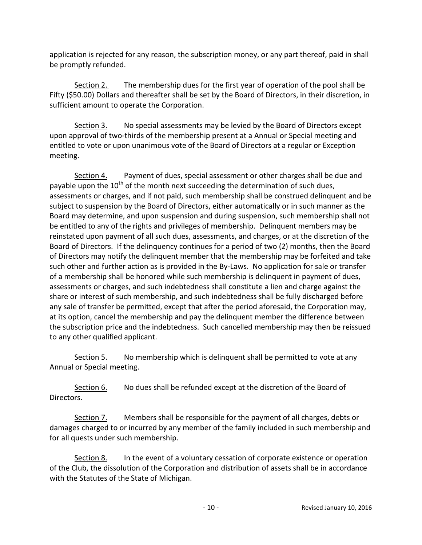application is rejected for any reason, the subscription money, or any part thereof, paid in shall be promptly refunded.

Section 2. The membership dues for the first year of operation of the pool shall be Fifty (\$50.00) Dollars and thereafter shall be set by the Board of Directors, in their discretion, in sufficient amount to operate the Corporation.

Section 3. No special assessments may be levied by the Board of Directors except upon approval of two-thirds of the membership present at a Annual or Special meeting and entitled to vote or upon unanimous vote of the Board of Directors at a regular or Exception meeting.

Section 4. Payment of dues, special assessment or other charges shall be due and payable upon the  $10<sup>th</sup>$  of the month next succeeding the determination of such dues, assessments or charges, and if not paid, such membership shall be construed delinquent and be subject to suspension by the Board of Directors, either automatically or in such manner as the Board may determine, and upon suspension and during suspension, such membership shall not be entitled to any of the rights and privileges of membership. Delinquent members may be reinstated upon payment of all such dues, assessments, and charges, or at the discretion of the Board of Directors. If the delinquency continues for a period of two (2) months, then the Board of Directors may notify the delinquent member that the membership may be forfeited and take such other and further action as is provided in the By-Laws. No application for sale or transfer of a membership shall be honored while such membership is delinquent in payment of dues, assessments or charges, and such indebtedness shall constitute a lien and charge against the share or interest of such membership, and such indebtedness shall be fully discharged before any sale of transfer be permitted, except that after the period aforesaid, the Corporation may, at its option, cancel the membership and pay the delinquent member the difference between the subscription price and the indebtedness. Such cancelled membership may then be reissued to any other qualified applicant.

Section 5. No membership which is delinquent shall be permitted to vote at any Annual or Special meeting.

Section 6. No dues shall be refunded except at the discretion of the Board of Directors.

Section 7. Members shall be responsible for the payment of all charges, debts or damages charged to or incurred by any member of the family included in such membership and for all quests under such membership.

Section 8. In the event of a voluntary cessation of corporate existence or operation of the Club, the dissolution of the Corporation and distribution of assets shall be in accordance with the Statutes of the State of Michigan.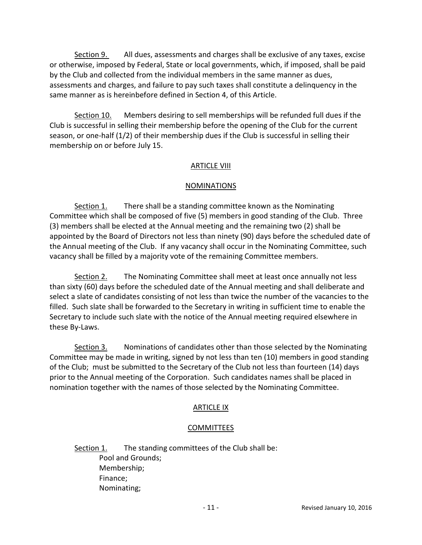Section 9. All dues, assessments and charges shall be exclusive of any taxes, excise or otherwise, imposed by Federal, State or local governments, which, if imposed, shall be paid by the Club and collected from the individual members in the same manner as dues, assessments and charges, and failure to pay such taxes shall constitute a delinquency in the same manner as is hereinbefore defined in Section 4, of this Article.

Section 10. Members desiring to sell memberships will be refunded full dues if the Club is successful in selling their membership before the opening of the Club for the current season, or one-half (1/2) of their membership dues if the Club is successful in selling their membership on or before July 15.

## **ARTICLE VIII**

## NOMINATIONS

Section 1. There shall be a standing committee known as the Nominating Committee which shall be composed of five (5) members in good standing of the Club. Three (3) members shall be elected at the Annual meeting and the remaining two (2) shall be appointed by the Board of Directors not less than ninety (90) days before the scheduled date of the Annual meeting of the Club. If any vacancy shall occur in the Nominating Committee, such vacancy shall be filled by a majority vote of the remaining Committee members.

Section 2. The Nominating Committee shall meet at least once annually not less than sixty (60) days before the scheduled date of the Annual meeting and shall deliberate and select a slate of candidates consisting of not less than twice the number of the vacancies to the filled. Such slate shall be forwarded to the Secretary in writing in sufficient time to enable the Secretary to include such slate with the notice of the Annual meeting required elsewhere in these By-Laws.

Section 3. Nominations of candidates other than those selected by the Nominating Committee may be made in writing, signed by not less than ten (10) members in good standing of the Club; must be submitted to the Secretary of the Club not less than fourteen (14) days prior to the Annual meeting of the Corporation. Such candidates names shall be placed in nomination together with the names of those selected by the Nominating Committee.

### ARTICLE IX

### **COMMITTEES**

Section 1. The standing committees of the Club shall be: Pool and Grounds; Membership; Finance; Nominating;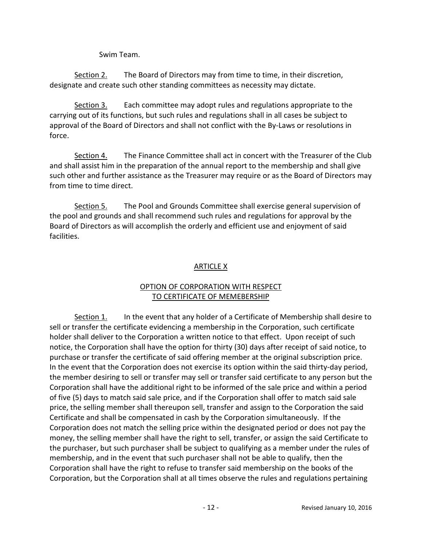Swim Team.

Section 2. The Board of Directors may from time to time, in their discretion, designate and create such other standing committees as necessity may dictate.

Section 3. Each committee may adopt rules and regulations appropriate to the carrying out of its functions, but such rules and regulations shall in all cases be subject to approval of the Board of Directors and shall not conflict with the By-Laws or resolutions in force.

Section 4. The Finance Committee shall act in concert with the Treasurer of the Club and shall assist him in the preparation of the annual report to the membership and shall give such other and further assistance as the Treasurer may require or as the Board of Directors may from time to time direct.

Section 5. The Pool and Grounds Committee shall exercise general supervision of the pool and grounds and shall recommend such rules and regulations for approval by the Board of Directors as will accomplish the orderly and efficient use and enjoyment of said facilities.

# ARTICLE X

## OPTION OF CORPORATION WITH RESPECT TO CERTIFICATE OF MEMEBERSHIP

Section 1. In the event that any holder of a Certificate of Membership shall desire to sell or transfer the certificate evidencing a membership in the Corporation, such certificate holder shall deliver to the Corporation a written notice to that effect. Upon receipt of such notice, the Corporation shall have the option for thirty (30) days after receipt of said notice, to purchase or transfer the certificate of said offering member at the original subscription price. In the event that the Corporation does not exercise its option within the said thirty-day period, the member desiring to sell or transfer may sell or transfer said certificate to any person but the Corporation shall have the additional right to be informed of the sale price and within a period of five (5) days to match said sale price, and if the Corporation shall offer to match said sale price, the selling member shall thereupon sell, transfer and assign to the Corporation the said Certificate and shall be compensated in cash by the Corporation simultaneously. If the Corporation does not match the selling price within the designated period or does not pay the money, the selling member shall have the right to sell, transfer, or assign the said Certificate to the purchaser, but such purchaser shall be subject to qualifying as a member under the rules of membership, and in the event that such purchaser shall not be able to qualify, then the Corporation shall have the right to refuse to transfer said membership on the books of the Corporation, but the Corporation shall at all times observe the rules and regulations pertaining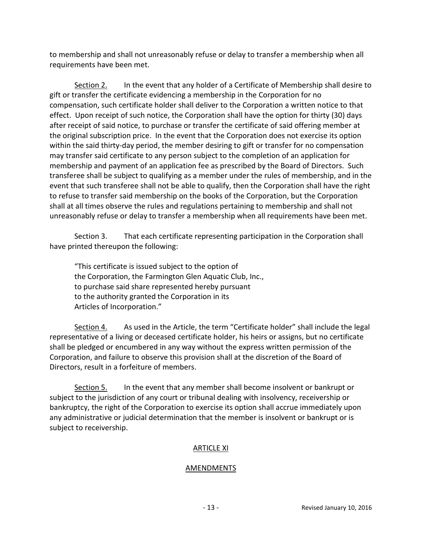to membership and shall not unreasonably refuse or delay to transfer a membership when all requirements have been met.

Section 2. In the event that any holder of a Certificate of Membership shall desire to gift or transfer the certificate evidencing a membership in the Corporation for no compensation, such certificate holder shall deliver to the Corporation a written notice to that effect. Upon receipt of such notice, the Corporation shall have the option for thirty (30) days after receipt of said notice, to purchase or transfer the certificate of said offering member at the original subscription price. In the event that the Corporation does not exercise its option within the said thirty-day period, the member desiring to gift or transfer for no compensation may transfer said certificate to any person subject to the completion of an application for membership and payment of an application fee as prescribed by the Board of Directors. Such transferee shall be subject to qualifying as a member under the rules of membership, and in the event that such transferee shall not be able to qualify, then the Corporation shall have the right to refuse to transfer said membership on the books of the Corporation, but the Corporation shall at all times observe the rules and regulations pertaining to membership and shall not unreasonably refuse or delay to transfer a membership when all requirements have been met.

Section 3. That each certificate representing participation in the Corporation shall have printed thereupon the following:

 "This certificate is issued subject to the option of the Corporation, the Farmington Glen Aquatic Club, Inc., to purchase said share represented hereby pursuant to the authority granted the Corporation in its Articles of Incorporation."

Section 4. As used in the Article, the term "Certificate holder" shall include the legal representative of a living or deceased certificate holder, his heirs or assigns, but no certificate shall be pledged or encumbered in any way without the express written permission of the Corporation, and failure to observe this provision shall at the discretion of the Board of Directors, result in a forfeiture of members.

Section 5. In the event that any member shall become insolvent or bankrupt or subject to the jurisdiction of any court or tribunal dealing with insolvency, receivership or bankruptcy, the right of the Corporation to exercise its option shall accrue immediately upon any administrative or judicial determination that the member is insolvent or bankrupt or is subject to receivership.

### ARTICLE XI

### AMENDMENTS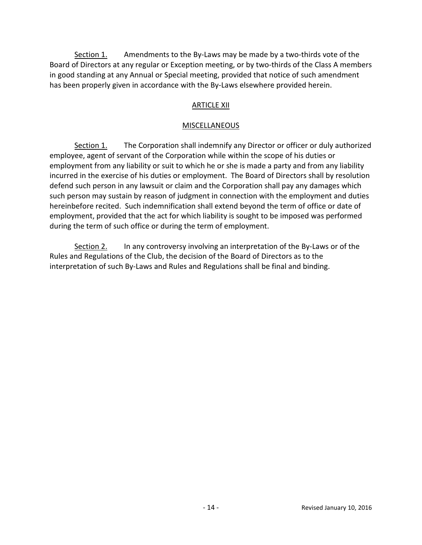Section 1. Amendments to the By-Laws may be made by a two-thirds vote of the Board of Directors at any regular or Exception meeting, or by two-thirds of the Class A members in good standing at any Annual or Special meeting, provided that notice of such amendment has been properly given in accordance with the By-Laws elsewhere provided herein.

## ARTICLE XII

#### MISCELLANEOUS

Section 1. The Corporation shall indemnify any Director or officer or duly authorized employee, agent of servant of the Corporation while within the scope of his duties or employment from any liability or suit to which he or she is made a party and from any liability incurred in the exercise of his duties or employment. The Board of Directors shall by resolution defend such person in any lawsuit or claim and the Corporation shall pay any damages which such person may sustain by reason of judgment in connection with the employment and duties hereinbefore recited. Such indemnification shall extend beyond the term of office or date of employment, provided that the act for which liability is sought to be imposed was performed during the term of such office or during the term of employment.

Section 2. In any controversy involving an interpretation of the By-Laws or of the Rules and Regulations of the Club, the decision of the Board of Directors as to the interpretation of such By-Laws and Rules and Regulations shall be final and binding.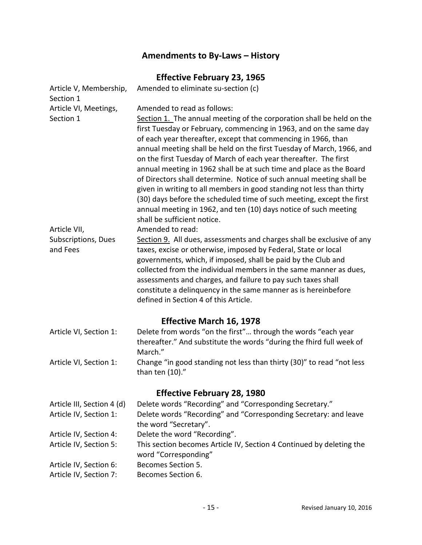# Amendments to By-Laws – History

# Effective February 23, 1965

| Article V, Membership,<br>Section 1             | Amended to eliminate su-section (c)                                                                                                                                                                                                                                                                                                                                                                                                                                                                                                                                                                                                                                                                                                                                                          |  |
|-------------------------------------------------|----------------------------------------------------------------------------------------------------------------------------------------------------------------------------------------------------------------------------------------------------------------------------------------------------------------------------------------------------------------------------------------------------------------------------------------------------------------------------------------------------------------------------------------------------------------------------------------------------------------------------------------------------------------------------------------------------------------------------------------------------------------------------------------------|--|
| Article VI, Meetings,<br>Section 1              | Amended to read as follows:<br>Section 1. The annual meeting of the corporation shall be held on the<br>first Tuesday or February, commencing in 1963, and on the same day<br>of each year thereafter, except that commencing in 1966, than<br>annual meeting shall be held on the first Tuesday of March, 1966, and<br>on the first Tuesday of March of each year thereafter. The first<br>annual meeting in 1962 shall be at such time and place as the Board<br>of Directors shall determine. Notice of such annual meeting shall be<br>given in writing to all members in good standing not less than thirty<br>(30) days before the scheduled time of such meeting, except the first<br>annual meeting in 1962, and ten (10) days notice of such meeting<br>shall be sufficient notice. |  |
| Article VII,<br>Subscriptions, Dues<br>and Fees | Amended to read:<br>Section 9. All dues, assessments and charges shall be exclusive of any<br>taxes, excise or otherwise, imposed by Federal, State or local<br>governments, which, if imposed, shall be paid by the Club and<br>collected from the individual members in the same manner as dues,<br>assessments and charges, and failure to pay such taxes shall<br>constitute a delinquency in the same manner as is hereinbefore<br>defined in Section 4 of this Article.                                                                                                                                                                                                                                                                                                                |  |
|                                                 | <b>Effective March 16, 1978</b>                                                                                                                                                                                                                                                                                                                                                                                                                                                                                                                                                                                                                                                                                                                                                              |  |
| Article VI, Section 1:                          | Delete from words "on the first" through the words "each year<br>thereafter." And substitute the words "during the fhird full week of<br>March."                                                                                                                                                                                                                                                                                                                                                                                                                                                                                                                                                                                                                                             |  |
| Article VI, Section 1:                          | Change "in good standing not less than thirty (30)" to read "not less<br>than ten $(10)$ ."                                                                                                                                                                                                                                                                                                                                                                                                                                                                                                                                                                                                                                                                                                  |  |
| <b>Effective February 28, 1980</b>              |                                                                                                                                                                                                                                                                                                                                                                                                                                                                                                                                                                                                                                                                                                                                                                                              |  |
| Article III, Section 4 (d)                      | Delete words "Recording" and "Corresponding Secretary."                                                                                                                                                                                                                                                                                                                                                                                                                                                                                                                                                                                                                                                                                                                                      |  |
| Article IV, Section 1:                          | Delete words "Recording" and "Corresponding Secretary: and leave<br>the word "Secretary".                                                                                                                                                                                                                                                                                                                                                                                                                                                                                                                                                                                                                                                                                                    |  |
| Article IV, Section 4:                          | Delete the word "Recording".                                                                                                                                                                                                                                                                                                                                                                                                                                                                                                                                                                                                                                                                                                                                                                 |  |
| Article IV, Section 5:                          | This section becomes Article IV, Section 4 Continued by deleting the<br>word "Corresponding"                                                                                                                                                                                                                                                                                                                                                                                                                                                                                                                                                                                                                                                                                                 |  |
| Article IV, Section 6:                          | Becomes Section 5.                                                                                                                                                                                                                                                                                                                                                                                                                                                                                                                                                                                                                                                                                                                                                                           |  |
| Article IV, Section 7:                          | Becomes Section 6.                                                                                                                                                                                                                                                                                                                                                                                                                                                                                                                                                                                                                                                                                                                                                                           |  |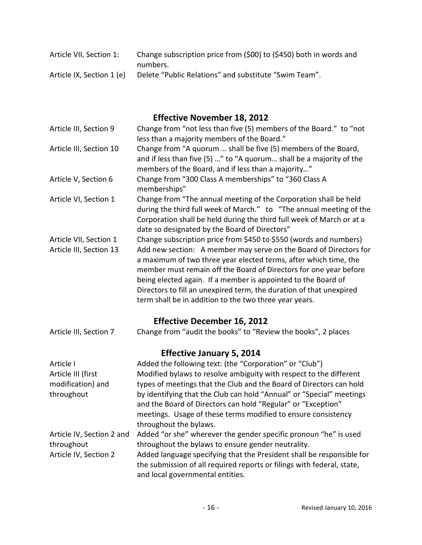| Article VII, Section 1:   | Change subscription price from (\$00) to (\$450) both in words and |
|---------------------------|--------------------------------------------------------------------|
|                           | numbers.                                                           |
| Article IX, Section 1 (e) | Delete "Public Relations" and substitute "Swim Team".              |

# Effective November 18, 2012

| Article III, Section 9                            | Change from "not less than five (5) members of the Board." to "not<br>less than a majority members of the Board."                                                                                                                                                                                                                                                                                                                                                                 |  |
|---------------------------------------------------|-----------------------------------------------------------------------------------------------------------------------------------------------------------------------------------------------------------------------------------------------------------------------------------------------------------------------------------------------------------------------------------------------------------------------------------------------------------------------------------|--|
| Article III, Section 10                           | Change from "A quorum  shall be five (5) members of the Board,<br>and if less than five (5) " to "A quorum shall be a majority of the<br>members of the Board, and if less than a majority"                                                                                                                                                                                                                                                                                       |  |
| Article V, Section 6                              | Change from "300 Class A memberships" to "360 Class A<br>memberships"                                                                                                                                                                                                                                                                                                                                                                                                             |  |
| Article VI, Section 1                             | Change from "The annual meeting of the Corporation shall be held<br>during the third full week of March." to "The annual meeting of the<br>Corporation shall be held during the third full week of March or at a<br>date so designated by the Board of Directors"                                                                                                                                                                                                                 |  |
| Article VII, Section 1<br>Article III, Section 13 | Change subscription price from \$450 to \$550 (words and numbers)<br>Add new section: A member may serve on the Board of Directors for<br>a maximum of two three year elected terms, after which time, the<br>member must remain off the Board of Directors for one year before<br>being elected again. If a member is appointed to the Board of<br>Directors to fill an unexpired term, the duration of that unexpired<br>term shall be in addition to the two three year years. |  |
| <b>Effective December 16, 2012</b>                |                                                                                                                                                                                                                                                                                                                                                                                                                                                                                   |  |
| Article III, Section 7                            | Change from "audit the books" to "Review the books", 2 places                                                                                                                                                                                                                                                                                                                                                                                                                     |  |
| <b>Effective January 5, 2014</b>                  |                                                                                                                                                                                                                                                                                                                                                                                                                                                                                   |  |
| Article I                                         | Added the following text: (the "Corporation" or "Club")                                                                                                                                                                                                                                                                                                                                                                                                                           |  |
| Article III (first                                | Modified bylaws to resolve ambiguity with respect to the different                                                                                                                                                                                                                                                                                                                                                                                                                |  |
| modification) and                                 | types of meetings that the Club and the Board of Directors can hold                                                                                                                                                                                                                                                                                                                                                                                                               |  |
| throughout                                        | by identifying that the Club can hold "Annual" or "Special" meetings<br>and the Board of Directors can hold "Regular" or "Exception"<br>meetings. Usage of these terms modified to ensure consistency<br>throughout the bylaws.                                                                                                                                                                                                                                                   |  |
| Article IV, Section 2 and                         | Added "or she" wherever the gender specific pronoun "he" is used                                                                                                                                                                                                                                                                                                                                                                                                                  |  |
| throughout                                        | throughout the bylaws to ensure gender neutrality.                                                                                                                                                                                                                                                                                                                                                                                                                                |  |
| Article IV, Section 2                             | Added language specifying that the President shall be responsible for<br>the submission of all required reports or filings with federal, state,<br>and local governmental entities.                                                                                                                                                                                                                                                                                               |  |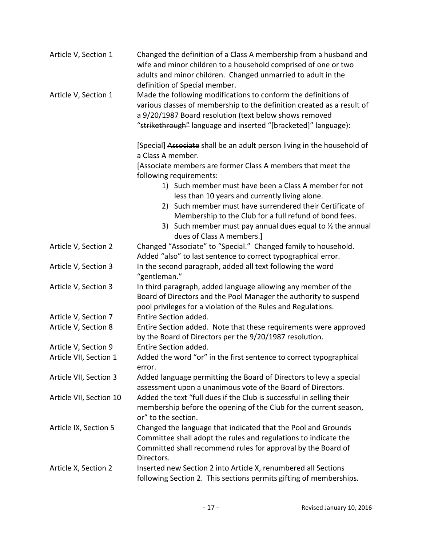| Article V, Section 1    | Changed the definition of a Class A membership from a husband and<br>wife and minor children to a household comprised of one or two<br>adults and minor children. Changed unmarried to adult in the<br>definition of Special member.                                 |
|-------------------------|----------------------------------------------------------------------------------------------------------------------------------------------------------------------------------------------------------------------------------------------------------------------|
| Article V, Section 1    | Made the following modifications to conform the definitions of<br>various classes of membership to the definition created as a result of<br>a 9/20/1987 Board resolution (text below shows removed<br>"strikethrough" language and inserted "[bracketed]" language): |
|                         | [Special] Associate shall be an adult person living in the household of<br>a Class A member.                                                                                                                                                                         |
|                         | [Associate members are former Class A members that meet the<br>following requirements:                                                                                                                                                                               |
|                         | 1) Such member must have been a Class A member for not<br>less than 10 years and currently living alone.                                                                                                                                                             |
|                         | 2) Such member must have surrendered their Certificate of<br>Membership to the Club for a full refund of bond fees.<br>3) Such member must pay annual dues equal to $\frac{1}{2}$ the annual                                                                         |
| Article V, Section 2    | dues of Class A members.]<br>Changed "Associate" to "Special." Changed family to household.<br>Added "also" to last sentence to correct typographical error.                                                                                                         |
| Article V, Section 3    | In the second paragraph, added all text following the word<br>"gentleman."                                                                                                                                                                                           |
| Article V, Section 3    | In third paragraph, added language allowing any member of the<br>Board of Directors and the Pool Manager the authority to suspend<br>pool privileges for a violation of the Rules and Regulations.                                                                   |
| Article V, Section 7    | Entire Section added.                                                                                                                                                                                                                                                |
| Article V, Section 8    | Entire Section added. Note that these requirements were approved<br>by the Board of Directors per the 9/20/1987 resolution.                                                                                                                                          |
| Article V, Section 9    | Entire Section added.                                                                                                                                                                                                                                                |
| Article VII, Section 1  | Added the word "or" in the first sentence to correct typographical<br>error.                                                                                                                                                                                         |
| Article VII, Section 3  | Added language permitting the Board of Directors to levy a special<br>assessment upon a unanimous vote of the Board of Directors.                                                                                                                                    |
| Article VII, Section 10 | Added the text "full dues if the Club is successful in selling their<br>membership before the opening of the Club for the current season,<br>or" to the section.                                                                                                     |
| Article IX, Section 5   | Changed the language that indicated that the Pool and Grounds<br>Committee shall adopt the rules and regulations to indicate the<br>Committed shall recommend rules for approval by the Board of<br>Directors.                                                       |
| Article X, Section 2    | Inserted new Section 2 into Article X, renumbered all Sections<br>following Section 2. This sections permits gifting of memberships.                                                                                                                                 |